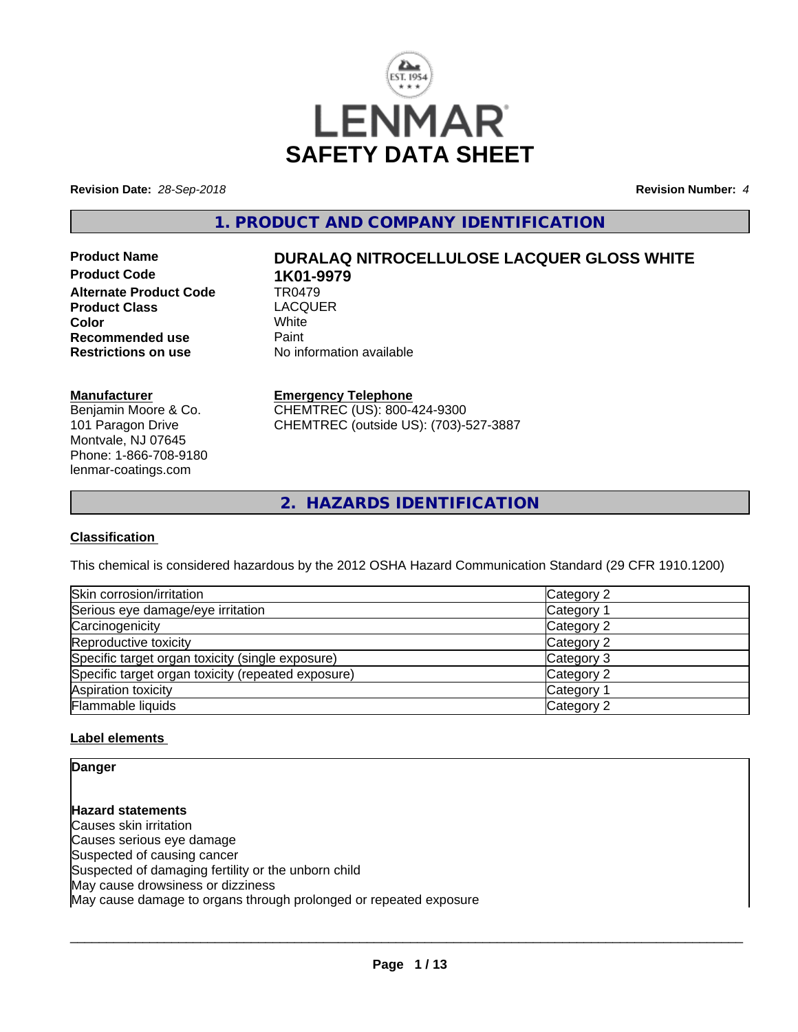

**Revision Date:** *28-Sep-2018* **Revision Number:** *4*

**1. PRODUCT AND COMPANY IDENTIFICATION**

**Product Code 1K01-9979**<br>Alternate Product Code 1R0479 **Alternate Product Code TR0479<br>Product Class LACOUER Product Class** LACQ<br> **Color** White **Color** White White **Recommended use Faint Paint Paint Restrictions on use Fig. 2016** 

# **Product Name DURALAQ NITROCELLULOSE LACQUER GLOSS WHITE**

**No information available** 

# **Manufacturer**

Benjamin Moore & Co. 101 Paragon Drive Montvale, NJ 07645 Phone: 1-866-708-9180 lenmar-coatings.com

# **Emergency Telephone**

CHEMTREC (US): 800-424-9300 CHEMTREC (outside US): (703)-527-3887

**2. HAZARDS IDENTIFICATION**

# **Classification**

This chemical is considered hazardous by the 2012 OSHA Hazard Communication Standard (29 CFR 1910.1200)

| Skin corrosion/irritation                          | Category 2            |
|----------------------------------------------------|-----------------------|
| Serious eye damage/eye irritation                  | Category 1            |
| Carcinogenicity                                    | Category 2            |
| Reproductive toxicity                              | Category 2            |
| Specific target organ toxicity (single exposure)   | Category 3            |
| Specific target organ toxicity (repeated exposure) | Category 2            |
| Aspiration toxicity                                | Category <sup>2</sup> |
| Flammable liquids                                  | Category 2            |

# **Label elements**

**Danger**

**Hazard statements** Causes skin irritation Causes serious eye damage Suspected of causing cancer Suspected of damaging fertility or the unborn child May cause drowsiness or dizziness May cause damage to organs through prolonged or repeated exposure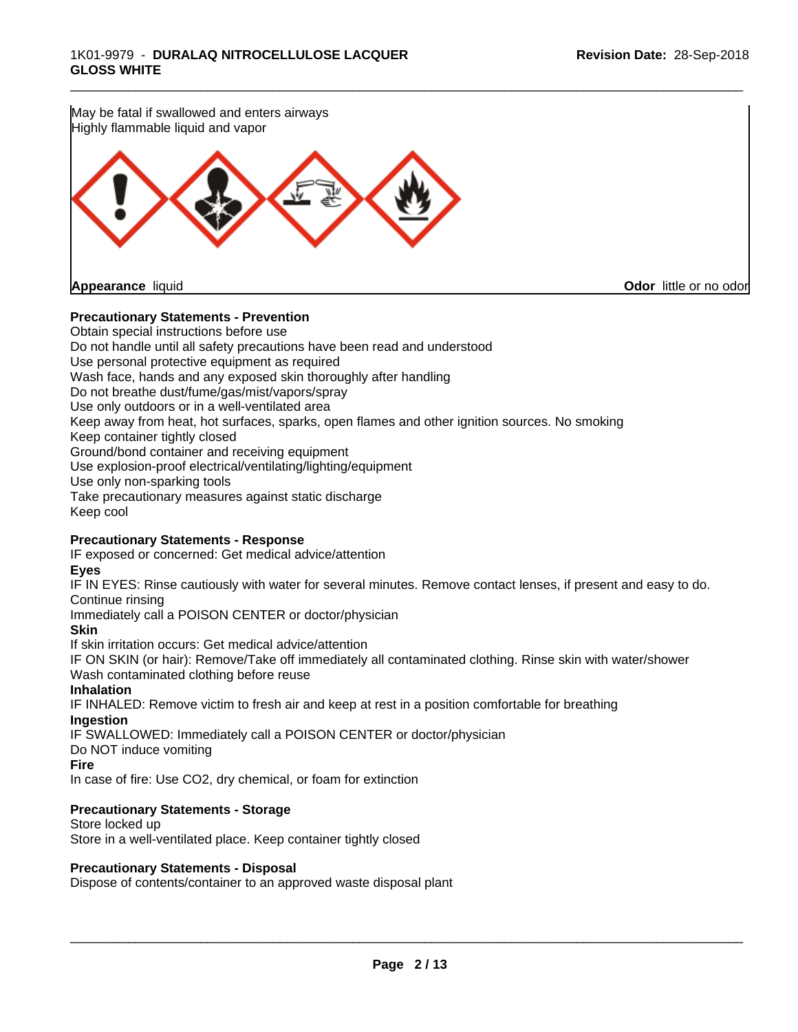

# **Precautionary Statements - Prevention**

Obtain special instructions before use Do not handle until all safety precautions have been read and understood Use personal protective equipment as required Wash face, hands and any exposed skin thoroughly after handling Do not breathe dust/fume/gas/mist/vapors/spray Use only outdoors or in a well-ventilated area Keep away from heat, hot surfaces, sparks, open flames and other ignition sources. No smoking Keep container tightly closed Ground/bond container and receiving equipment Use explosion-proof electrical/ventilating/lighting/equipment Use only non-sparking tools Take precautionary measures against static discharge Keep cool

# **Precautionary Statements - Response**

IF exposed or concerned: Get medical advice/attention

### **Eyes**

IF IN EYES: Rinse cautiously with water for several minutes. Remove contact lenses, if present and easy to do. Continue rinsing

Immediately call a POISON CENTER or doctor/physician

# **Skin**

If skin irritation occurs: Get medical advice/attention

IF ON SKIN (or hair): Remove/Take off immediately all contaminated clothing. Rinse skin with water/shower Wash contaminated clothing before reuse

# **Inhalation**

IF INHALED: Remove victim to fresh air and keep at rest in a position comfortable for breathing **Ingestion**

IF SWALLOWED: Immediately call a POISON CENTER or doctor/physician

Do NOT induce vomiting

### **Fire**

In case of fire: Use CO2, dry chemical, or foam for extinction

# **Precautionary Statements - Storage**

Store locked up Store in a well-ventilated place. Keep container tightly closed

### **Precautionary Statements - Disposal**

Dispose of contents/container to an approved waste disposal plant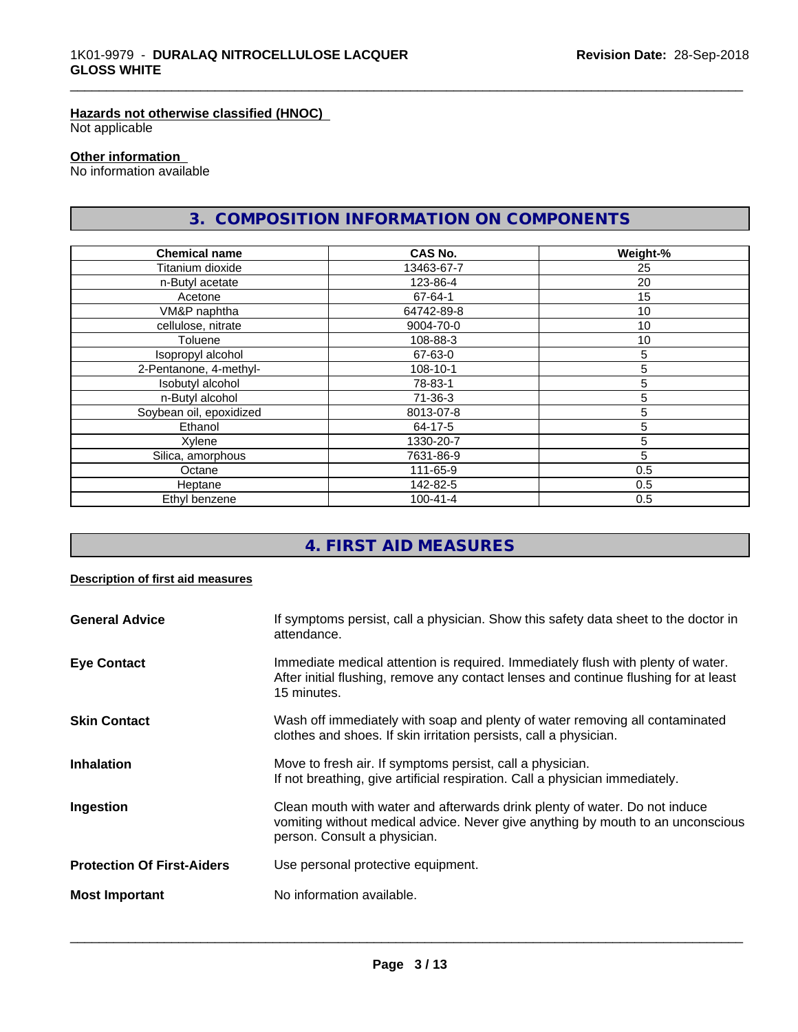# **Hazards not otherwise classified (HNOC)**

Not applicable

# **Other information**

No information available

# **3. COMPOSITION INFORMATION ON COMPONENTS**

\_\_\_\_\_\_\_\_\_\_\_\_\_\_\_\_\_\_\_\_\_\_\_\_\_\_\_\_\_\_\_\_\_\_\_\_\_\_\_\_\_\_\_\_\_\_\_\_\_\_\_\_\_\_\_\_\_\_\_\_\_\_\_\_\_\_\_\_\_\_\_\_\_\_\_\_\_\_\_\_\_\_\_\_\_\_\_\_\_\_\_\_\_

| <b>Chemical name</b>    | <b>CAS No.</b> | Weight-% |
|-------------------------|----------------|----------|
| Titanium dioxide        | 13463-67-7     | 25       |
| n-Butyl acetate         | 123-86-4       | 20       |
| Acetone                 | 67-64-1        | 15       |
| VM&P naphtha            | 64742-89-8     | 10       |
| cellulose, nitrate      | 9004-70-0      | 10       |
| Toluene                 | 108-88-3       | 10       |
| Isopropyl alcohol       | 67-63-0        | 5        |
| 2-Pentanone, 4-methyl-  | 108-10-1       | 5        |
| Isobutyl alcohol        | 78-83-1        | 5        |
| n-Butyl alcohol         | $71 - 36 - 3$  | 5        |
| Soybean oil, epoxidized | 8013-07-8      | 5        |
| Ethanol                 | 64-17-5        | 5        |
| Xylene                  | 1330-20-7      | 5        |
| Silica, amorphous       | 7631-86-9      | 5        |
| Octane                  | 111-65-9       | 0.5      |
| Heptane                 | 142-82-5       | 0.5      |
| Ethyl benzene           | $100 - 41 - 4$ | 0.5      |

# **4. FIRST AID MEASURES**

# **Description of first aid measures**

| <b>General Advice</b>             | If symptoms persist, call a physician. Show this safety data sheet to the doctor in<br>attendance.                                                                                            |
|-----------------------------------|-----------------------------------------------------------------------------------------------------------------------------------------------------------------------------------------------|
| <b>Eye Contact</b>                | Immediate medical attention is required. Immediately flush with plenty of water.<br>After initial flushing, remove any contact lenses and continue flushing for at least<br>15 minutes.       |
| <b>Skin Contact</b>               | Wash off immediately with soap and plenty of water removing all contaminated<br>clothes and shoes. If skin irritation persists, call a physician.                                             |
| <b>Inhalation</b>                 | Move to fresh air. If symptoms persist, call a physician.<br>If not breathing, give artificial respiration. Call a physician immediately.                                                     |
| Ingestion                         | Clean mouth with water and afterwards drink plenty of water. Do not induce<br>vomiting without medical advice. Never give anything by mouth to an unconscious<br>person. Consult a physician. |
| <b>Protection Of First-Aiders</b> | Use personal protective equipment.                                                                                                                                                            |
| <b>Most Important</b>             | No information available.                                                                                                                                                                     |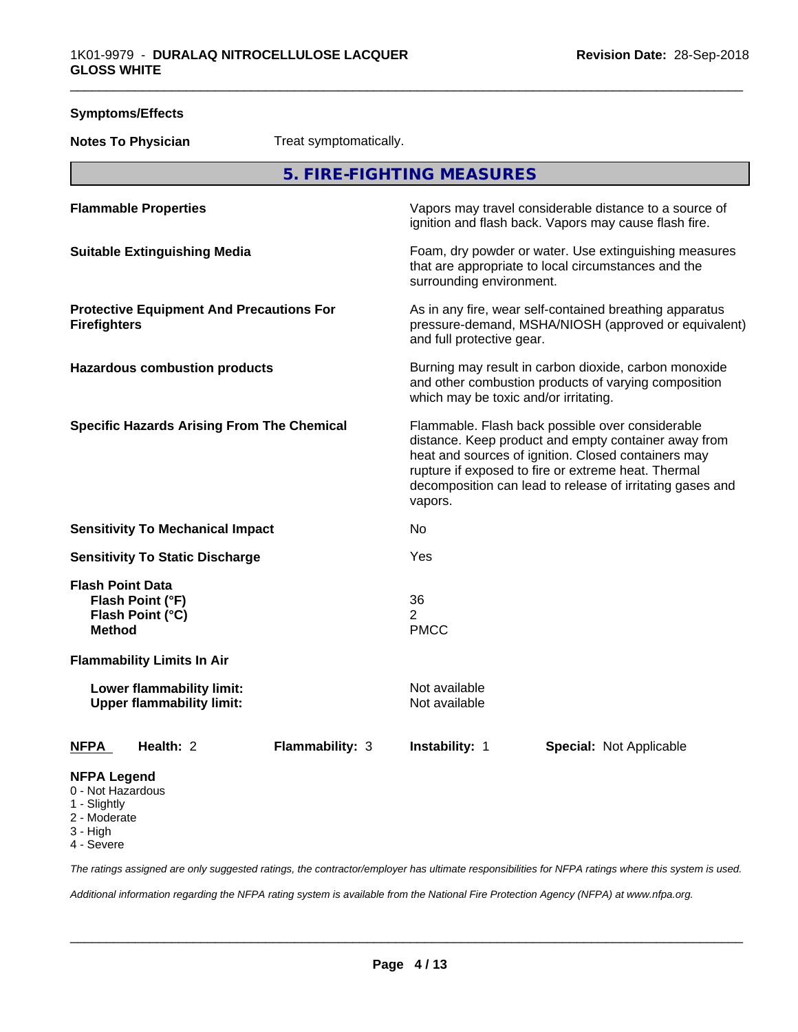| <b>Symptoms/Effects</b>                                                                           |                        |                                       |                                                                                                                                                                                                                                                                                     |
|---------------------------------------------------------------------------------------------------|------------------------|---------------------------------------|-------------------------------------------------------------------------------------------------------------------------------------------------------------------------------------------------------------------------------------------------------------------------------------|
| <b>Notes To Physician</b>                                                                         | Treat symptomatically. |                                       |                                                                                                                                                                                                                                                                                     |
|                                                                                                   |                        | 5. FIRE-FIGHTING MEASURES             |                                                                                                                                                                                                                                                                                     |
| <b>Flammable Properties</b>                                                                       |                        |                                       | Vapors may travel considerable distance to a source of<br>ignition and flash back. Vapors may cause flash fire.                                                                                                                                                                     |
| <b>Suitable Extinguishing Media</b>                                                               |                        | surrounding environment.              | Foam, dry powder or water. Use extinguishing measures<br>that are appropriate to local circumstances and the                                                                                                                                                                        |
| <b>Protective Equipment And Precautions For</b><br><b>Firefighters</b>                            |                        | and full protective gear.             | As in any fire, wear self-contained breathing apparatus<br>pressure-demand, MSHA/NIOSH (approved or equivalent)                                                                                                                                                                     |
| <b>Hazardous combustion products</b>                                                              |                        | which may be toxic and/or irritating. | Burning may result in carbon dioxide, carbon monoxide<br>and other combustion products of varying composition                                                                                                                                                                       |
| <b>Specific Hazards Arising From The Chemical</b>                                                 |                        | vapors.                               | Flammable. Flash back possible over considerable<br>distance. Keep product and empty container away from<br>heat and sources of ignition. Closed containers may<br>rupture if exposed to fire or extreme heat. Thermal<br>decomposition can lead to release of irritating gases and |
| <b>Sensitivity To Mechanical Impact</b>                                                           |                        | No                                    |                                                                                                                                                                                                                                                                                     |
| <b>Sensitivity To Static Discharge</b>                                                            |                        | Yes                                   |                                                                                                                                                                                                                                                                                     |
| <b>Flash Point Data</b><br>Flash Point (°F)<br>Flash Point (°C)<br><b>Method</b>                  |                        | 36<br>$\overline{2}$<br><b>PMCC</b>   |                                                                                                                                                                                                                                                                                     |
| <b>Flammability Limits In Air</b>                                                                 |                        |                                       |                                                                                                                                                                                                                                                                                     |
| Lower flammability limit:<br><b>Upper flammability limit:</b>                                     |                        | Not available<br>Not available        |                                                                                                                                                                                                                                                                                     |
| Health: 2<br><u>NFPA</u>                                                                          | <b>Flammability: 3</b> | Instability: 1                        | <b>Special: Not Applicable</b>                                                                                                                                                                                                                                                      |
| <b>NFPA Legend</b><br>0 - Not Hazardous<br>1 - Slightly<br>2 - Moderate<br>3 - High<br>4 - Severe |                        |                                       |                                                                                                                                                                                                                                                                                     |

*The ratings assigned are only suggested ratings, the contractor/employer has ultimate responsibilities for NFPA ratings where this system is used.*

*Additional information regarding the NFPA rating system is available from the National Fire Protection Agency (NFPA) at www.nfpa.org.*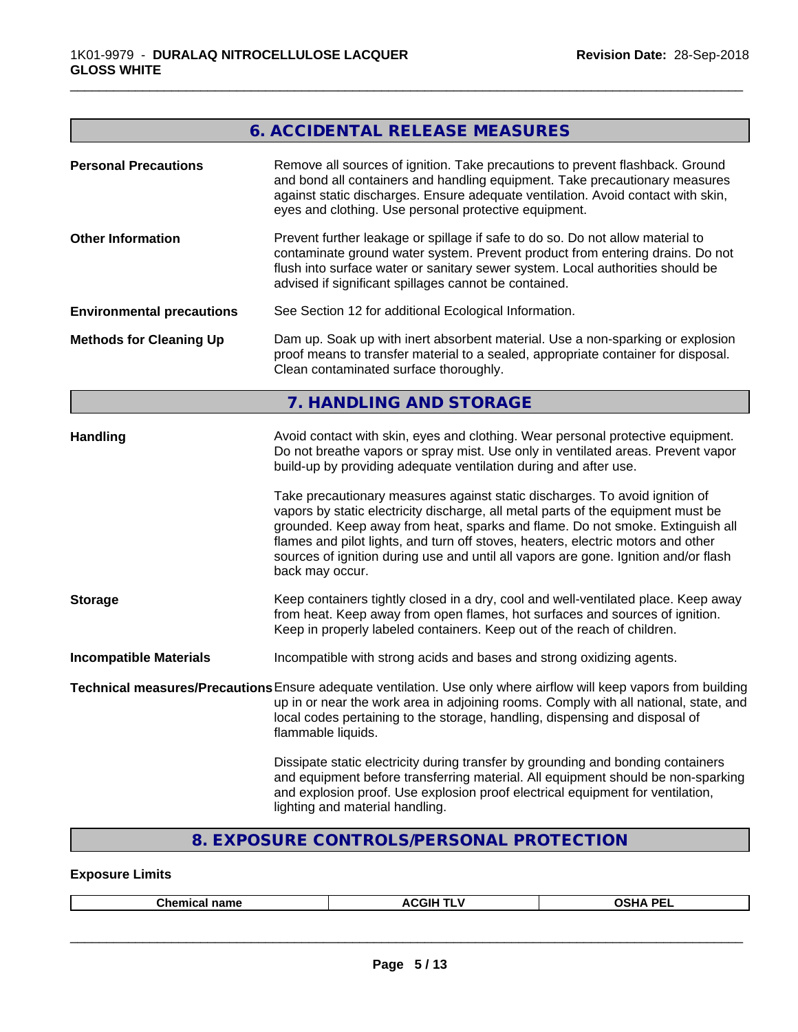# **6. ACCIDENTAL RELEASE MEASURES**

\_\_\_\_\_\_\_\_\_\_\_\_\_\_\_\_\_\_\_\_\_\_\_\_\_\_\_\_\_\_\_\_\_\_\_\_\_\_\_\_\_\_\_\_\_\_\_\_\_\_\_\_\_\_\_\_\_\_\_\_\_\_\_\_\_\_\_\_\_\_\_\_\_\_\_\_\_\_\_\_\_\_\_\_\_\_\_\_\_\_\_\_\_

| <b>Personal Precautions</b>      | Remove all sources of ignition. Take precautions to prevent flashback. Ground<br>and bond all containers and handling equipment. Take precautionary measures<br>against static discharges. Ensure adequate ventilation. Avoid contact with skin,<br>eyes and clothing. Use personal protective equipment.                                                                                                                                      |
|----------------------------------|------------------------------------------------------------------------------------------------------------------------------------------------------------------------------------------------------------------------------------------------------------------------------------------------------------------------------------------------------------------------------------------------------------------------------------------------|
| <b>Other Information</b>         | Prevent further leakage or spillage if safe to do so. Do not allow material to<br>contaminate ground water system. Prevent product from entering drains. Do not<br>flush into surface water or sanitary sewer system. Local authorities should be<br>advised if significant spillages cannot be contained.                                                                                                                                     |
| <b>Environmental precautions</b> | See Section 12 for additional Ecological Information.                                                                                                                                                                                                                                                                                                                                                                                          |
| <b>Methods for Cleaning Up</b>   | Dam up. Soak up with inert absorbent material. Use a non-sparking or explosion<br>proof means to transfer material to a sealed, appropriate container for disposal.<br>Clean contaminated surface thoroughly.                                                                                                                                                                                                                                  |
|                                  | 7. HANDLING AND STORAGE                                                                                                                                                                                                                                                                                                                                                                                                                        |
| <b>Handling</b>                  | Avoid contact with skin, eyes and clothing. Wear personal protective equipment.<br>Do not breathe vapors or spray mist. Use only in ventilated areas. Prevent vapor<br>build-up by providing adequate ventilation during and after use.                                                                                                                                                                                                        |
|                                  | Take precautionary measures against static discharges. To avoid ignition of<br>vapors by static electricity discharge, all metal parts of the equipment must be<br>grounded. Keep away from heat, sparks and flame. Do not smoke. Extinguish all<br>flames and pilot lights, and turn off stoves, heaters, electric motors and other<br>sources of ignition during use and until all vapors are gone. Ignition and/or flash<br>back may occur. |
| <b>Storage</b>                   | Keep containers tightly closed in a dry, cool and well-ventilated place. Keep away<br>from heat. Keep away from open flames, hot surfaces and sources of ignition.<br>Keep in properly labeled containers. Keep out of the reach of children.                                                                                                                                                                                                  |
| <b>Incompatible Materials</b>    | Incompatible with strong acids and bases and strong oxidizing agents.                                                                                                                                                                                                                                                                                                                                                                          |
|                                  | Technical measures/Precautions Ensure adequate ventilation. Use only where airflow will keep vapors from building<br>up in or near the work area in adjoining rooms. Comply with all national, state, and<br>local codes pertaining to the storage, handling, dispensing and disposal of<br>flammable liquids.                                                                                                                                 |
|                                  | Dissipate static electricity during transfer by grounding and bonding containers<br>and equipment before transferring material. All equipment should be non-sparking<br>and explosion proof. Use explosion proof electrical equipment for ventilation,<br>lighting and material handling.                                                                                                                                                      |

# **8. EXPOSURE CONTROLS/PERSONAL PROTECTION**

# **Exposure Limits**

|  | <b>Chamu</b><br>-------<br>---<br>чанк<br>--- | <b>ACGIF</b><br>. . | ----<br>DE.<br>. .<br>``<br>-- |
|--|-----------------------------------------------|---------------------|--------------------------------|
|--|-----------------------------------------------|---------------------|--------------------------------|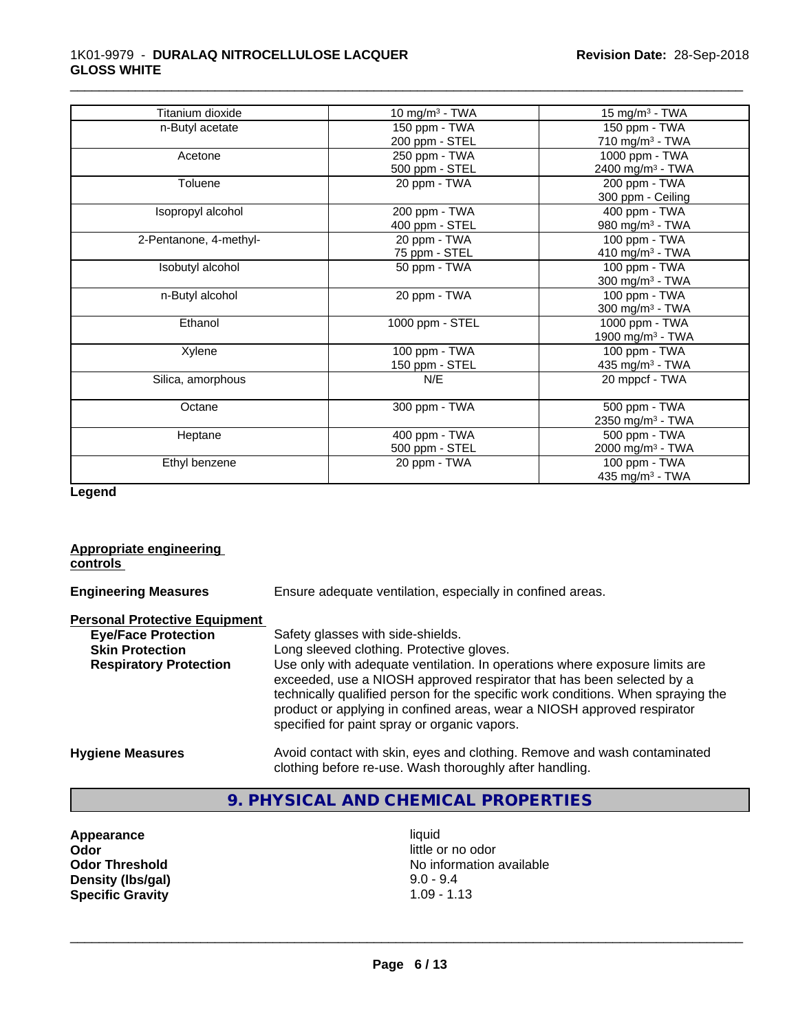# 1K01-9979 - **DURALAQ NITROCELLULOSE LACQUER GLOSS WHITE**

| Titanium dioxide       | 10 mg/m $3$ - TWA | 15 mg/m $3$ - TWA            |
|------------------------|-------------------|------------------------------|
| n-Butyl acetate        | 150 ppm - TWA     | 150 ppm - TWA                |
|                        | 200 ppm - STEL    | 710 mg/m <sup>3</sup> - TWA  |
| Acetone                | 250 ppm - TWA     | 1000 ppm - TWA               |
|                        | 500 ppm - STEL    | 2400 mg/m <sup>3</sup> - TWA |
| Toluene                | 20 ppm - TWA      | 200 ppm - TWA                |
|                        |                   | 300 ppm - Ceiling            |
| Isopropyl alcohol      | 200 ppm - TWA     | 400 ppm - TWA                |
|                        | 400 ppm - STEL    | 980 mg/m <sup>3</sup> - TWA  |
| 2-Pentanone, 4-methyl- | 20 ppm - TWA      | 100 ppm - TWA                |
|                        | 75 ppm - STEL     | 410 mg/m $3$ - TWA           |
| Isobutyl alcohol       | 50 ppm - TWA      | 100 ppm - TWA                |
|                        |                   | 300 mg/m <sup>3</sup> - TWA  |
| n-Butyl alcohol        | 20 ppm - TWA      | 100 ppm - TWA                |
|                        |                   | 300 mg/m <sup>3</sup> - TWA  |
| Ethanol                | 1000 ppm - STEL   | 1000 ppm - TWA               |
|                        |                   | 1900 mg/m <sup>3</sup> - TWA |
| Xylene                 | 100 ppm - TWA     | 100 ppm - TWA                |
|                        | 150 ppm - STEL    | 435 mg/m <sup>3</sup> - TWA  |
| Silica, amorphous      | N/E               | 20 mppcf - TWA               |
| Octane                 | 300 ppm - TWA     | 500 ppm - TWA                |
|                        |                   | 2350 mg/m <sup>3</sup> - TWA |
| Heptane                | 400 ppm - TWA     | 500 ppm - TWA                |
|                        | 500 ppm - STEL    | 2000 mg/m <sup>3</sup> - TWA |
| Ethyl benzene          | 20 ppm - TWA      | 100 ppm - TWA                |
|                        |                   | 435 mg/m <sup>3</sup> - TWA  |

\_\_\_\_\_\_\_\_\_\_\_\_\_\_\_\_\_\_\_\_\_\_\_\_\_\_\_\_\_\_\_\_\_\_\_\_\_\_\_\_\_\_\_\_\_\_\_\_\_\_\_\_\_\_\_\_\_\_\_\_\_\_\_\_\_\_\_\_\_\_\_\_\_\_\_\_\_\_\_\_\_\_\_\_\_\_\_\_\_\_\_\_\_

**Legend**

#### **Appropriate engineering controls**

**Engineering Measures** Ensure adequate ventilation, especially in confined areas.

# **Personal Protective Equipment**

| <b>Eye/Face Protection</b>    | Safety glasses with side-shields.                                                                                                                                                                                                                                                                                                                                   |
|-------------------------------|---------------------------------------------------------------------------------------------------------------------------------------------------------------------------------------------------------------------------------------------------------------------------------------------------------------------------------------------------------------------|
| <b>Skin Protection</b>        | Long sleeved clothing. Protective gloves.                                                                                                                                                                                                                                                                                                                           |
| <b>Respiratory Protection</b> | Use only with adequate ventilation. In operations where exposure limits are<br>exceeded, use a NIOSH approved respirator that has been selected by a<br>technically qualified person for the specific work conditions. When spraying the<br>product or applying in confined areas, wear a NIOSH approved respirator<br>specified for paint spray or organic vapors. |
| <b>Hygiene Measures</b>       | Avoid contact with skin, eyes and clothing. Remove and wash contaminated                                                                                                                                                                                                                                                                                            |

# clothing before re-use. Wash thoroughly after handling.

# **9. PHYSICAL AND CHEMICAL PROPERTIES**

**Appearance** liquid **and a liquid contract of the liquid determined a liquid little of the little of the little of the little of the little of the little of the little of the little of the little of the little of the littl Density (lbs/gal) Specific Gravity** 1.09 - 1.13

little or no odor **Odor Threshold**<br> **Density (Ibs/gal)**<br> **Density (Ibs/gal)**<br> **Density (Ibs/gal)**<br> **Density (Ibs/gal)**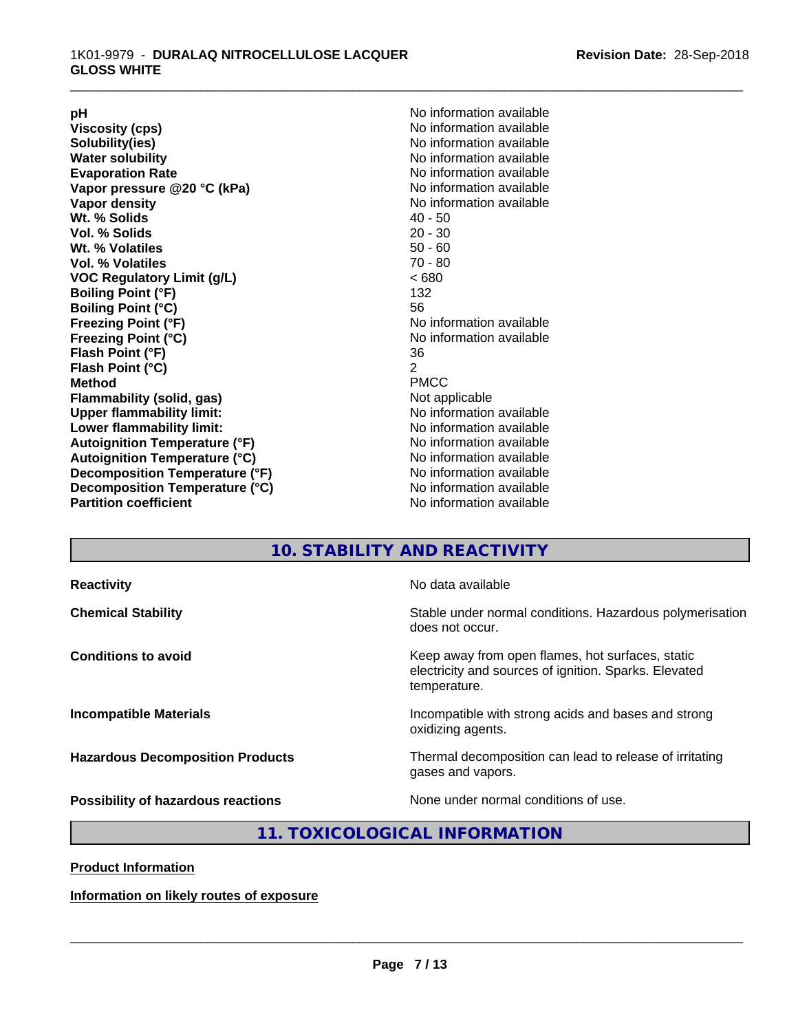**pH**<br>
Viscosity (cps) The Contract of the Contract of No information available<br>
No information available **Viscosity (cps)** <br> **Viscosity (cps)** No information available<br>
No information available<br>
No information available **Water solubility**<br> **Evaporation Rate**<br> **Evaporation Rate**<br> **Evaporation Rate Vapor** pressure @20 °C (kPa) **Vapor density No information available Wt. % Solids** 40 - 50<br> **Vol. % Solids** 20 - 30 **Vol. % Solids Wt. % Volatiles** 50 - 60 **Vol. % Volatiles** 70 - 80 **VOC Regulatory Limit (g/L)** < 680 **Boiling Point (°F)** 132 **Boiling Point (°C)** 56<br> **Freezing Point (°F)** No **Freezing Point (°C)** No information available **Flash Point (°F)** 36 **Flash Point (°C)** 2 **Method** PMCC **Flammability (solid, gas)** Not applicable **Upper flammability limit:** No information available **Lower flammability limit:** No information available **Autoignition Temperature (°F)** No information available **Autoignition Temperature (°C)** No information available **Decomposition Temperature (°F)**<br> **Decomposition Temperature (°C)** No information available<br>
No information available **Decomposition Temperature (°C)**<br>Partition coefficient

**Solubility(ies)** No information available No information available<br>No information available **Freezing Point (°F)** No information available **No information available** 

\_\_\_\_\_\_\_\_\_\_\_\_\_\_\_\_\_\_\_\_\_\_\_\_\_\_\_\_\_\_\_\_\_\_\_\_\_\_\_\_\_\_\_\_\_\_\_\_\_\_\_\_\_\_\_\_\_\_\_\_\_\_\_\_\_\_\_\_\_\_\_\_\_\_\_\_\_\_\_\_\_\_\_\_\_\_\_\_\_\_\_\_\_

# **10. STABILITY AND REACTIVITY**

| <b>Reactivity</b>                       | No data available                                                                                                         |
|-----------------------------------------|---------------------------------------------------------------------------------------------------------------------------|
| <b>Chemical Stability</b>               | Stable under normal conditions. Hazardous polymerisation<br>does not occur.                                               |
| <b>Conditions to avoid</b>              | Keep away from open flames, hot surfaces, static<br>electricity and sources of ignition. Sparks. Elevated<br>temperature. |
| <b>Incompatible Materials</b>           | Incompatible with strong acids and bases and strong<br>oxidizing agents.                                                  |
| <b>Hazardous Decomposition Products</b> | Thermal decomposition can lead to release of irritating<br>gases and vapors.                                              |
| Possibility of hazardous reactions      | None under normal conditions of use.                                                                                      |

# **11. TOXICOLOGICAL INFORMATION**

**Product Information**

**Information on likely routes of exposure**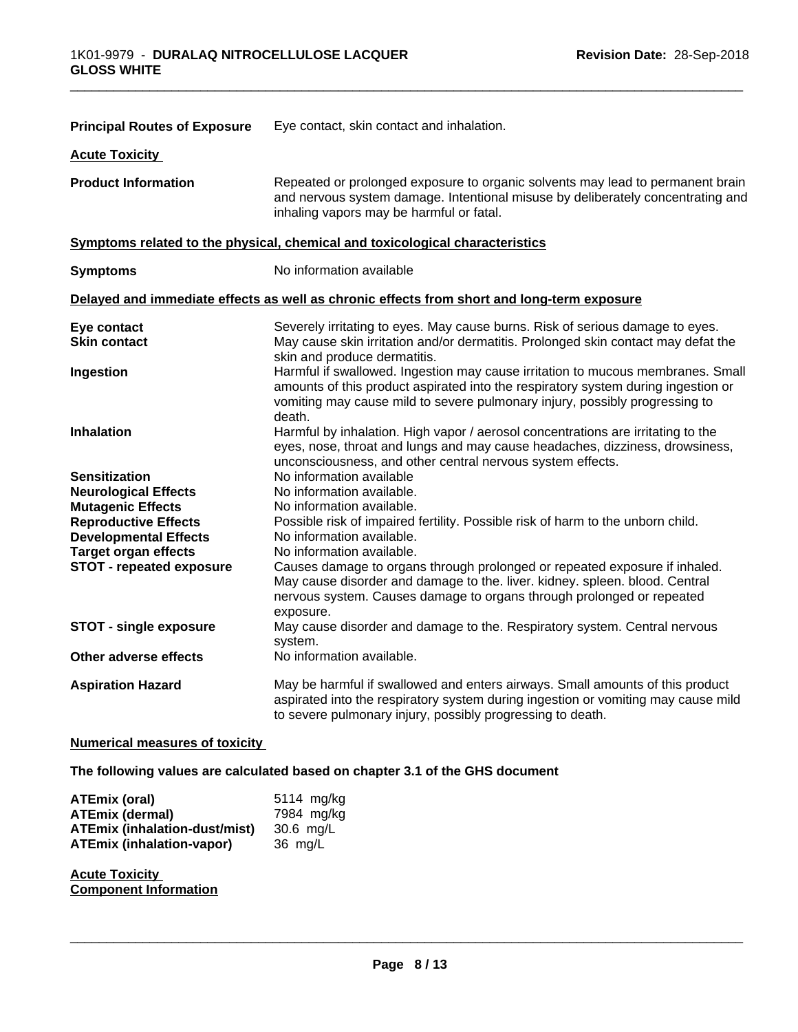| Repeated or prolonged exposure to organic solvents may lead to permanent brain<br>and nervous system damage. Intentional misuse by deliberately concentrating and<br>inhaling vapors may be harmful or fatal.<br>Symptoms related to the physical, chemical and toxicological characteristics<br>No information available<br>Delayed and immediate effects as well as chronic effects from short and long-term exposure<br>Severely irritating to eyes. May cause burns. Risk of serious damage to eyes.<br>May cause skin irritation and/or dermatitis. Prolonged skin contact may defat the<br>skin and produce dermatitis.<br>Harmful if swallowed. Ingestion may cause irritation to mucous membranes. Small<br>amounts of this product aspirated into the respiratory system during ingestion or<br>vomiting may cause mild to severe pulmonary injury, possibly progressing to<br>death.<br>Harmful by inhalation. High vapor / aerosol concentrations are irritating to the<br>eyes, nose, throat and lungs and may cause headaches, dizziness, drowsiness,<br>unconsciousness, and other central nervous system effects.<br>No information available<br>No information available.<br><b>Neurological Effects</b><br>No information available.<br><b>Mutagenic Effects</b><br><b>Reproductive Effects</b><br>Possible risk of impaired fertility. Possible risk of harm to the unborn child.<br>No information available.<br><b>Developmental Effects</b><br>No information available.<br><b>Target organ effects</b><br>Causes damage to organs through prolonged or repeated exposure if inhaled.<br>May cause disorder and damage to the. liver. kidney. spleen. blood. Central<br>nervous system. Causes damage to organs through prolonged or repeated<br>exposure.<br>May cause disorder and damage to the. Respiratory system. Central nervous<br>system.<br>No information available.<br>May be harmful if swallowed and enters airways. Small amounts of this product<br>aspirated into the respiratory system during ingestion or vomiting may cause mild<br>to severe pulmonary injury, possibly progressing to death. | <b>Principal Routes of Exposure</b> | Eye contact, skin contact and inhalation. |
|------------------------------------------------------------------------------------------------------------------------------------------------------------------------------------------------------------------------------------------------------------------------------------------------------------------------------------------------------------------------------------------------------------------------------------------------------------------------------------------------------------------------------------------------------------------------------------------------------------------------------------------------------------------------------------------------------------------------------------------------------------------------------------------------------------------------------------------------------------------------------------------------------------------------------------------------------------------------------------------------------------------------------------------------------------------------------------------------------------------------------------------------------------------------------------------------------------------------------------------------------------------------------------------------------------------------------------------------------------------------------------------------------------------------------------------------------------------------------------------------------------------------------------------------------------------------------------------------------------------------------------------------------------------------------------------------------------------------------------------------------------------------------------------------------------------------------------------------------------------------------------------------------------------------------------------------------------------------------------------------------------------------------------------------------------------------------------------------------------------------------------------|-------------------------------------|-------------------------------------------|
|                                                                                                                                                                                                                                                                                                                                                                                                                                                                                                                                                                                                                                                                                                                                                                                                                                                                                                                                                                                                                                                                                                                                                                                                                                                                                                                                                                                                                                                                                                                                                                                                                                                                                                                                                                                                                                                                                                                                                                                                                                                                                                                                          | <b>Acute Toxicity</b>               |                                           |
|                                                                                                                                                                                                                                                                                                                                                                                                                                                                                                                                                                                                                                                                                                                                                                                                                                                                                                                                                                                                                                                                                                                                                                                                                                                                                                                                                                                                                                                                                                                                                                                                                                                                                                                                                                                                                                                                                                                                                                                                                                                                                                                                          | <b>Product Information</b>          |                                           |
|                                                                                                                                                                                                                                                                                                                                                                                                                                                                                                                                                                                                                                                                                                                                                                                                                                                                                                                                                                                                                                                                                                                                                                                                                                                                                                                                                                                                                                                                                                                                                                                                                                                                                                                                                                                                                                                                                                                                                                                                                                                                                                                                          |                                     |                                           |
|                                                                                                                                                                                                                                                                                                                                                                                                                                                                                                                                                                                                                                                                                                                                                                                                                                                                                                                                                                                                                                                                                                                                                                                                                                                                                                                                                                                                                                                                                                                                                                                                                                                                                                                                                                                                                                                                                                                                                                                                                                                                                                                                          | <b>Symptoms</b>                     |                                           |
|                                                                                                                                                                                                                                                                                                                                                                                                                                                                                                                                                                                                                                                                                                                                                                                                                                                                                                                                                                                                                                                                                                                                                                                                                                                                                                                                                                                                                                                                                                                                                                                                                                                                                                                                                                                                                                                                                                                                                                                                                                                                                                                                          |                                     |                                           |
|                                                                                                                                                                                                                                                                                                                                                                                                                                                                                                                                                                                                                                                                                                                                                                                                                                                                                                                                                                                                                                                                                                                                                                                                                                                                                                                                                                                                                                                                                                                                                                                                                                                                                                                                                                                                                                                                                                                                                                                                                                                                                                                                          | Eye contact                         |                                           |
|                                                                                                                                                                                                                                                                                                                                                                                                                                                                                                                                                                                                                                                                                                                                                                                                                                                                                                                                                                                                                                                                                                                                                                                                                                                                                                                                                                                                                                                                                                                                                                                                                                                                                                                                                                                                                                                                                                                                                                                                                                                                                                                                          | <b>Skin contact</b>                 |                                           |
|                                                                                                                                                                                                                                                                                                                                                                                                                                                                                                                                                                                                                                                                                                                                                                                                                                                                                                                                                                                                                                                                                                                                                                                                                                                                                                                                                                                                                                                                                                                                                                                                                                                                                                                                                                                                                                                                                                                                                                                                                                                                                                                                          | Ingestion                           |                                           |
|                                                                                                                                                                                                                                                                                                                                                                                                                                                                                                                                                                                                                                                                                                                                                                                                                                                                                                                                                                                                                                                                                                                                                                                                                                                                                                                                                                                                                                                                                                                                                                                                                                                                                                                                                                                                                                                                                                                                                                                                                                                                                                                                          | <b>Inhalation</b>                   |                                           |
|                                                                                                                                                                                                                                                                                                                                                                                                                                                                                                                                                                                                                                                                                                                                                                                                                                                                                                                                                                                                                                                                                                                                                                                                                                                                                                                                                                                                                                                                                                                                                                                                                                                                                                                                                                                                                                                                                                                                                                                                                                                                                                                                          | <b>Sensitization</b>                |                                           |
|                                                                                                                                                                                                                                                                                                                                                                                                                                                                                                                                                                                                                                                                                                                                                                                                                                                                                                                                                                                                                                                                                                                                                                                                                                                                                                                                                                                                                                                                                                                                                                                                                                                                                                                                                                                                                                                                                                                                                                                                                                                                                                                                          |                                     |                                           |
|                                                                                                                                                                                                                                                                                                                                                                                                                                                                                                                                                                                                                                                                                                                                                                                                                                                                                                                                                                                                                                                                                                                                                                                                                                                                                                                                                                                                                                                                                                                                                                                                                                                                                                                                                                                                                                                                                                                                                                                                                                                                                                                                          |                                     |                                           |
|                                                                                                                                                                                                                                                                                                                                                                                                                                                                                                                                                                                                                                                                                                                                                                                                                                                                                                                                                                                                                                                                                                                                                                                                                                                                                                                                                                                                                                                                                                                                                                                                                                                                                                                                                                                                                                                                                                                                                                                                                                                                                                                                          |                                     |                                           |
|                                                                                                                                                                                                                                                                                                                                                                                                                                                                                                                                                                                                                                                                                                                                                                                                                                                                                                                                                                                                                                                                                                                                                                                                                                                                                                                                                                                                                                                                                                                                                                                                                                                                                                                                                                                                                                                                                                                                                                                                                                                                                                                                          |                                     |                                           |
|                                                                                                                                                                                                                                                                                                                                                                                                                                                                                                                                                                                                                                                                                                                                                                                                                                                                                                                                                                                                                                                                                                                                                                                                                                                                                                                                                                                                                                                                                                                                                                                                                                                                                                                                                                                                                                                                                                                                                                                                                                                                                                                                          | <b>STOT - repeated exposure</b>     |                                           |
|                                                                                                                                                                                                                                                                                                                                                                                                                                                                                                                                                                                                                                                                                                                                                                                                                                                                                                                                                                                                                                                                                                                                                                                                                                                                                                                                                                                                                                                                                                                                                                                                                                                                                                                                                                                                                                                                                                                                                                                                                                                                                                                                          | <b>STOT - single exposure</b>       |                                           |
|                                                                                                                                                                                                                                                                                                                                                                                                                                                                                                                                                                                                                                                                                                                                                                                                                                                                                                                                                                                                                                                                                                                                                                                                                                                                                                                                                                                                                                                                                                                                                                                                                                                                                                                                                                                                                                                                                                                                                                                                                                                                                                                                          | <b>Other adverse effects</b>        |                                           |
|                                                                                                                                                                                                                                                                                                                                                                                                                                                                                                                                                                                                                                                                                                                                                                                                                                                                                                                                                                                                                                                                                                                                                                                                                                                                                                                                                                                                                                                                                                                                                                                                                                                                                                                                                                                                                                                                                                                                                                                                                                                                                                                                          | <b>Aspiration Hazard</b>            |                                           |

\_\_\_\_\_\_\_\_\_\_\_\_\_\_\_\_\_\_\_\_\_\_\_\_\_\_\_\_\_\_\_\_\_\_\_\_\_\_\_\_\_\_\_\_\_\_\_\_\_\_\_\_\_\_\_\_\_\_\_\_\_\_\_\_\_\_\_\_\_\_\_\_\_\_\_\_\_\_\_\_\_\_\_\_\_\_\_\_\_\_\_\_\_

# **Numerical measures of toxicity**

**The following values are calculated based on chapter 3.1 of the GHS document**

| ATEmix (oral)                        | 5114 mg/kg |
|--------------------------------------|------------|
| <b>ATEmix (dermal)</b>               | 7984 mg/kg |
| <b>ATEmix (inhalation-dust/mist)</b> | 30.6 ma/L  |
| <b>ATEmix (inhalation-vapor)</b>     | 36 mg/L    |

**Acute Toxicity Component Information**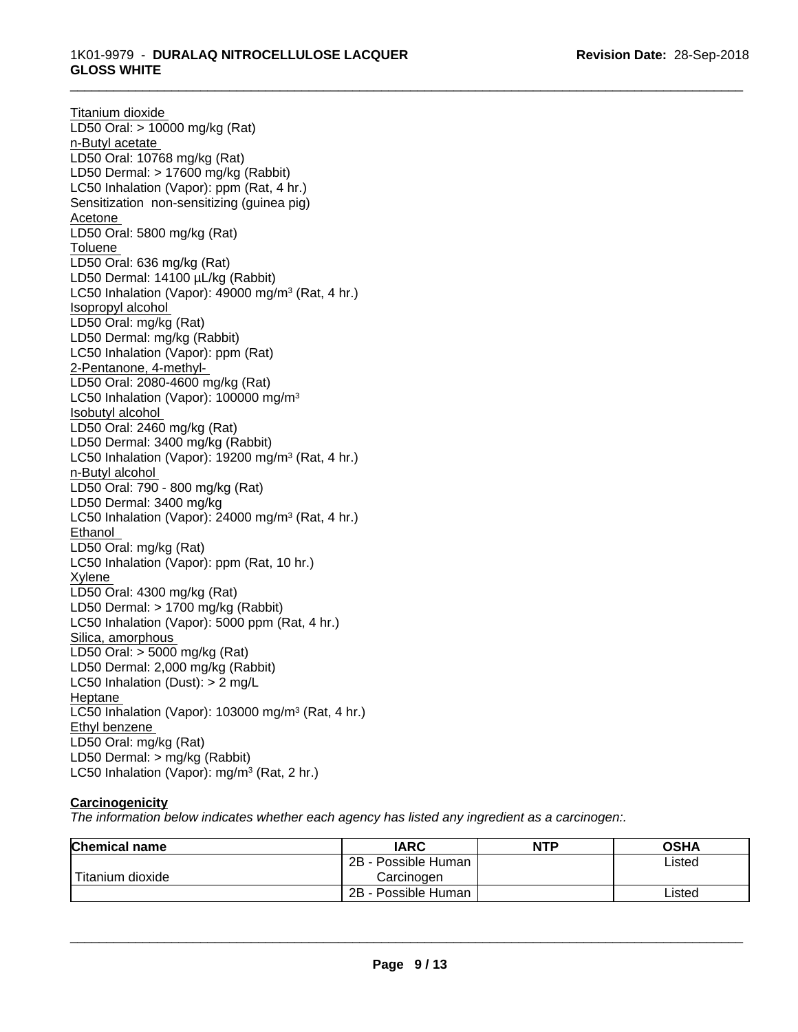# \_\_\_\_\_\_\_\_\_\_\_\_\_\_\_\_\_\_\_\_\_\_\_\_\_\_\_\_\_\_\_\_\_\_\_\_\_\_\_\_\_\_\_\_\_\_\_\_\_\_\_\_\_\_\_\_\_\_\_\_\_\_\_\_\_\_\_\_\_\_\_\_\_\_\_\_\_\_\_\_\_\_\_\_\_\_\_\_\_\_\_\_\_ 1K01-9979 - **DURALAQ NITROCELLULOSE LACQUER GLOSS WHITE**

Titanium dioxide LD50 Oral: > 10000 mg/kg (Rat) n-Butyl acetate LD50 Oral: 10768 mg/kg (Rat) LD50 Dermal: > 17600 mg/kg (Rabbit) LC50 Inhalation (Vapor): ppm (Rat, 4 hr.) Sensitization non-sensitizing (guinea pig) Acetone LD50 Oral: 5800 mg/kg (Rat) Toluene LD50 Oral: 636 mg/kg (Rat) LD50 Dermal: 14100 µL/kg (Rabbit) LC50 Inhalation (Vapor): 49000 mg/m<sup>3</sup> (Rat, 4 hr.) Isopropyl alcohol LD50 Oral: mg/kg (Rat) LD50 Dermal: mg/kg (Rabbit) LC50 Inhalation (Vapor): ppm (Rat) 2-Pentanone, 4-methyl-LD50 Oral: 2080-4600 mg/kg (Rat) LC50 Inhalation (Vapor): 100000 mg/m<sup>3</sup> Isobutyl alcohol LD50 Oral: 2460 mg/kg (Rat) LD50 Dermal: 3400 mg/kg (Rabbit) LC50 Inhalation (Vapor): 19200 mg/m<sup>3</sup> (Rat, 4 hr.) n-Butyl alcohol LD50 Oral: 790 - 800 mg/kg (Rat) LD50 Dermal: 3400 mg/kg LC50 Inhalation (Vapor): 24000 mg/m<sup>3</sup> (Rat, 4 hr.) Ethanol LD50 Oral: mg/kg (Rat) LC50 Inhalation (Vapor): ppm (Rat, 10 hr.) Xylene LD50 Oral: 4300 mg/kg (Rat) LD50 Dermal: > 1700 mg/kg (Rabbit) LC50 Inhalation (Vapor): 5000 ppm (Rat, 4 hr.) Silica, amorphous LD50 Oral: > 5000 mg/kg (Rat) LD50 Dermal: 2,000 mg/kg (Rabbit) LC50 Inhalation (Dust): > 2 mg/L Heptane LC50 Inhalation (Vapor): 103000 mg/m<sup>3</sup> (Rat, 4 hr.) Ethyl benzene LD50 Oral: mg/kg (Rat) LD50 Dermal: > mg/kg (Rabbit) LC50 Inhalation (Vapor): mg/m<sup>3</sup> (Rat, 2 hr.)

# **Carcinogenicity**

*The information below indicateswhether each agency has listed any ingredient as a carcinogen:.*

| <b>Chemical name</b> | <b>IARC</b>                     | <b>NTP</b> | <b>OSHA</b> |
|----------------------|---------------------------------|------------|-------------|
|                      | 2B<br>Possible Human            |            | Listed      |
| Titanium dioxide     | Carcinoɑen                      |            |             |
|                      | <b>Possible Human</b><br>$2B -$ |            | Listed      |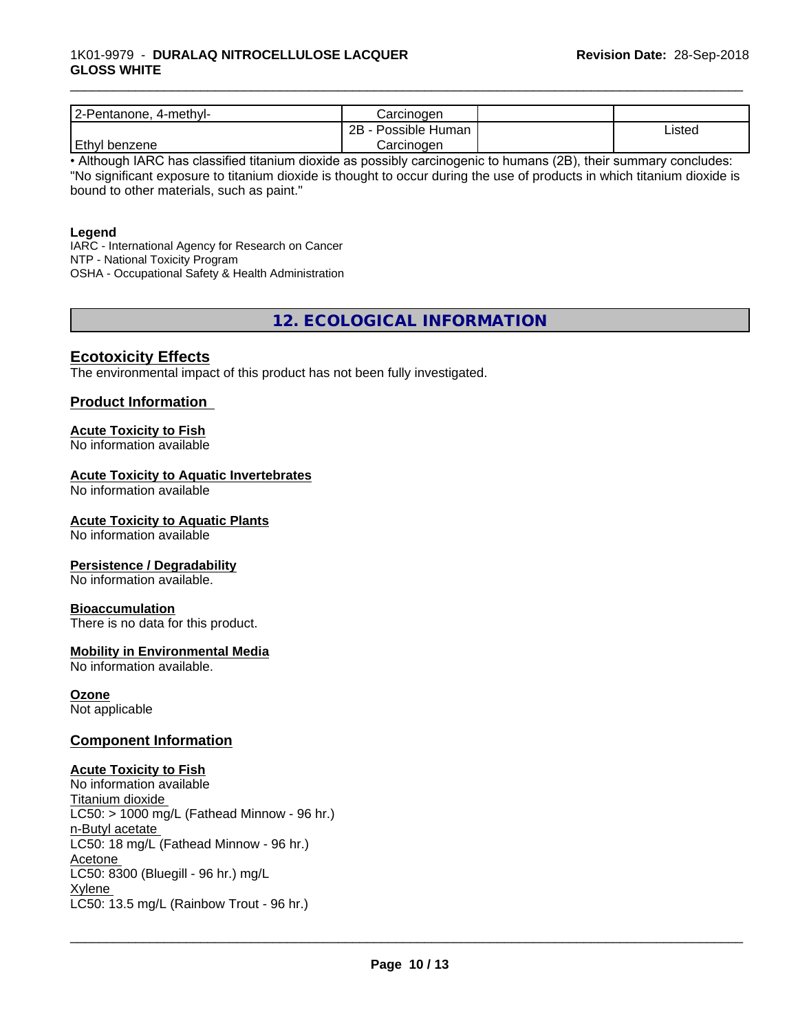| $2-Pe$<br>4-methyl-<br>'entanone. | شarcınoαer           |        |
|-----------------------------------|----------------------|--------|
|                                   | 2B<br>Possible Human | ∟isted |
| Ethyl<br>benzene                  | Carcinoger           |        |

\_\_\_\_\_\_\_\_\_\_\_\_\_\_\_\_\_\_\_\_\_\_\_\_\_\_\_\_\_\_\_\_\_\_\_\_\_\_\_\_\_\_\_\_\_\_\_\_\_\_\_\_\_\_\_\_\_\_\_\_\_\_\_\_\_\_\_\_\_\_\_\_\_\_\_\_\_\_\_\_\_\_\_\_\_\_\_\_\_\_\_\_\_

• Although IARC has classified titanium dioxide as possibly carcinogenic to humans (2B), their summary concludes: "No significant exposure to titanium dioxide is thought to occur during the use of products in which titanium dioxide is bound to other materials, such as paint."

### **Legend**

IARC - International Agency for Research on Cancer NTP - National Toxicity Program OSHA - Occupational Safety & Health Administration

**12. ECOLOGICAL INFORMATION**

# **Ecotoxicity Effects**

The environmental impact of this product has not been fully investigated.

# **Product Information**

# **Acute Toxicity to Fish**

No information available

# **Acute Toxicity to Aquatic Invertebrates**

No information available

### **Acute Toxicity to Aquatic Plants**

No information available

### **Persistence / Degradability**

No information available.

### **Bioaccumulation**

There is no data for this product.

### **Mobility in Environmental Media**

No information available.

# **Ozone**

Not applicable

### **Component Information**

### **Acute Toxicity to Fish**

No information available Titanium dioxide  $LC50:$  > 1000 mg/L (Fathead Minnow - 96 hr.) n-Butyl acetate LC50: 18 mg/L (Fathead Minnow - 96 hr.) Acetone LC50: 8300 (Bluegill - 96 hr.) mg/L Xylene \_\_\_\_\_\_\_\_\_\_\_\_\_\_\_\_\_\_\_\_\_\_\_\_\_\_\_\_\_\_\_\_\_\_\_\_\_\_\_\_\_\_\_\_\_\_\_\_\_\_\_\_\_\_\_\_\_\_\_\_\_\_\_\_\_\_\_\_\_\_\_\_\_\_\_\_\_\_\_\_\_\_\_\_\_\_\_\_\_\_\_\_\_ LC50: 13.5 mg/L (Rainbow Trout - 96 hr.)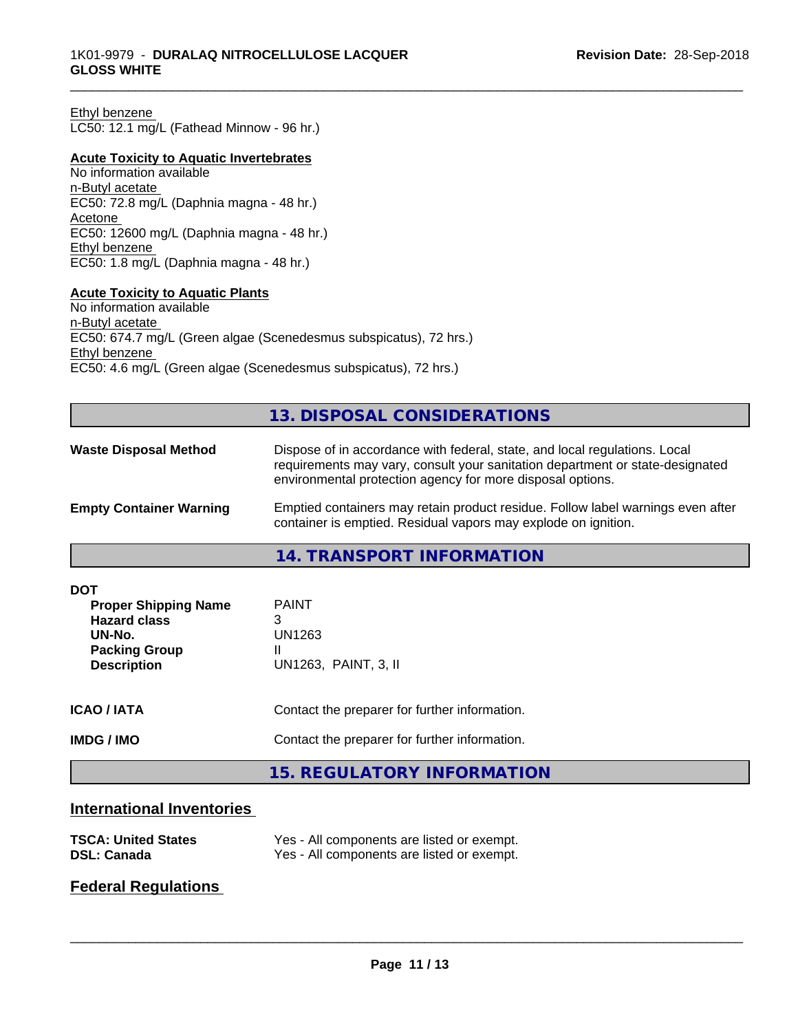#### Ethyl benzene

LC50: 12.1 mg/L (Fathead Minnow - 96 hr.)

#### **Acute Toxicity to Aquatic Invertebrates**

No information available n-Butyl acetate EC50: 72.8 mg/L (Daphnia magna - 48 hr.) Acetone EC50: 12600 mg/L (Daphnia magna - 48 hr.) Ethyl benzene EC50: 1.8 mg/L (Daphnia magna - 48 hr.)

# **Acute Toxicity to Aquatic Plants**

No information available n-Butyl acetate EC50: 674.7 mg/L (Green algae (Scenedesmus subspicatus), 72 hrs.) Ethyl benzene EC50: 4.6 mg/L (Green algae (Scenedesmus subspicatus), 72 hrs.)

# **13. DISPOSAL CONSIDERATIONS**

| <b>Waste Disposal Method</b>   | Dispose of in accordance with federal, state, and local regulations. Local<br>requirements may vary, consult your sanitation department or state-designated<br>environmental protection agency for more disposal options. |
|--------------------------------|---------------------------------------------------------------------------------------------------------------------------------------------------------------------------------------------------------------------------|
| <b>Empty Container Warning</b> | Emptied containers may retain product residue. Follow label warnings even after<br>container is emptied. Residual vapors may explode on ignition.                                                                         |

### **14. TRANSPORT INFORMATION**

| <b>DOT</b><br><b>Proper Shipping Name</b><br><b>Hazard class</b><br>UN-No.<br><b>Packing Group</b><br><b>Description</b> | <b>PAINT</b><br>3<br>UN1263<br>UN1263, PAINT, 3, II |  |
|--------------------------------------------------------------------------------------------------------------------------|-----------------------------------------------------|--|
| <b>ICAO/IATA</b>                                                                                                         | Contact the preparer for further information.       |  |
| <b>IMDG/IMO</b>                                                                                                          | Contact the preparer for further information.       |  |
|                                                                                                                          | 15. REGULATORY INFORMATION                          |  |

# **International Inventories**

| <b>TSCA: United States</b> | Yes - All components are listed or exempt. |
|----------------------------|--------------------------------------------|
| <b>DSL: Canada</b>         | Yes - All components are listed or exempt. |

# **Federal Regulations**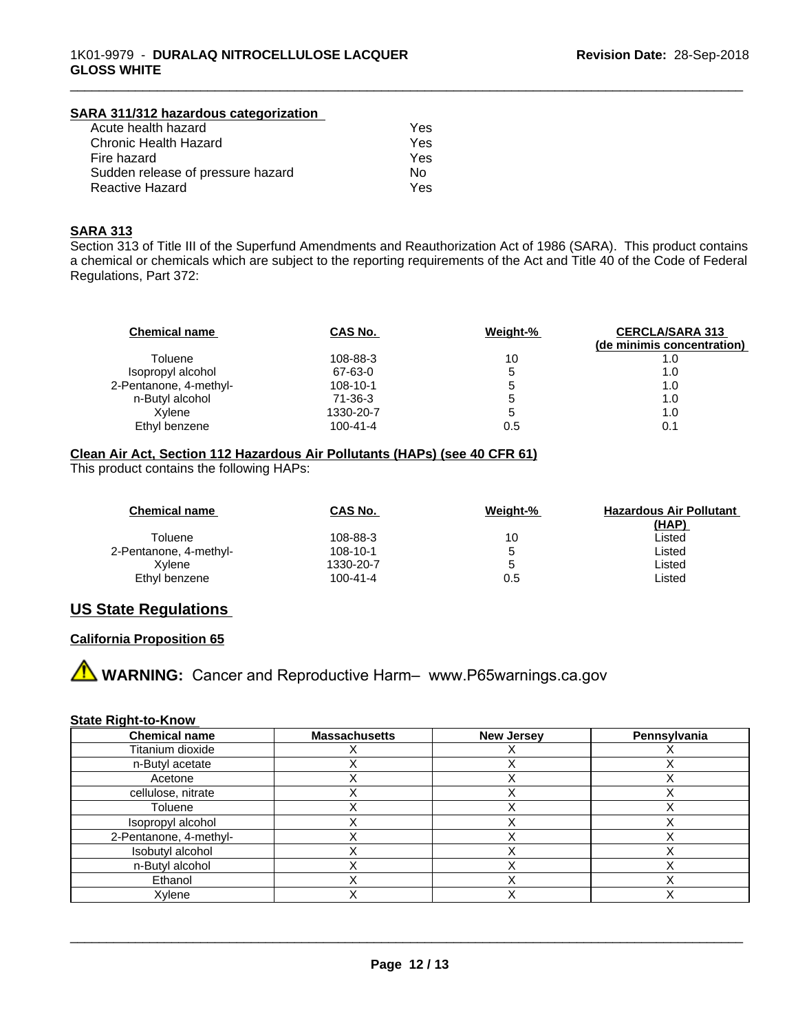| SARA 311/312 hazardous categorization |     |  |
|---------------------------------------|-----|--|
| Acute health hazard                   | Yes |  |
| Chronic Health Hazard                 | Yes |  |
| Fire hazard                           | Yes |  |
| Sudden release of pressure hazard     | No. |  |
| <b>Reactive Hazard</b>                | Yes |  |

# **SARA 313**

Section 313 of Title III of the Superfund Amendments and Reauthorization Act of 1986 (SARA). This product contains a chemical or chemicals which are subject to the reporting requirements of the Act and Title 40 of the Code of Federal Regulations, Part 372:

\_\_\_\_\_\_\_\_\_\_\_\_\_\_\_\_\_\_\_\_\_\_\_\_\_\_\_\_\_\_\_\_\_\_\_\_\_\_\_\_\_\_\_\_\_\_\_\_\_\_\_\_\_\_\_\_\_\_\_\_\_\_\_\_\_\_\_\_\_\_\_\_\_\_\_\_\_\_\_\_\_\_\_\_\_\_\_\_\_\_\_\_\_

| <b>Chemical name</b>   | CAS No.        | Weight-%     | <b>CERCLA/SARA 313</b><br>(de minimis concentration) |
|------------------------|----------------|--------------|------------------------------------------------------|
| Toluene                | 108-88-3       | 10           | 1.0                                                  |
| Isopropyl alcohol      | 67-63-0        | 5            | 1.0                                                  |
| 2-Pentanone, 4-methyl- | 108-10-1       |              | 1.0                                                  |
| n-Butyl alcohol        | $71-36-3$      | <sub>5</sub> | 1.0                                                  |
| Xvlene                 | 1330-20-7      | <sup>5</sup> | 1.0                                                  |
| Ethyl benzene          | $100 - 41 - 4$ | 0.5          |                                                      |

# **Clean Air Act,Section 112 Hazardous Air Pollutants (HAPs) (see 40 CFR 61)**

This product contains the following HAPs:

| <b>Chemical name</b>   | CAS No.        | Weight-% | <b>Hazardous Air Pollutant</b> |
|------------------------|----------------|----------|--------------------------------|
|                        |                |          | (HAP)                          |
| Toluene                | 108-88-3       | 10       | Listed                         |
| 2-Pentanone, 4-methyl- | 108-10-1       |          | Listed                         |
| Xvlene                 | 1330-20-7      | G        | Listed                         |
| Ethyl benzene          | $100 - 41 - 4$ | 0.5      | ∟isted                         |

# **US State Regulations**

# **California Proposition 65**

**AVIMARNING:** Cancer and Reproductive Harm– www.P65warnings.ca.gov

### **State Right-to-Know**

| <b>Chemical name</b>   | <b>Massachusetts</b> | <b>New Jersey</b> | Pennsylvania |
|------------------------|----------------------|-------------------|--------------|
| Titanium dioxide       |                      |                   |              |
| n-Butyl acetate        |                      |                   |              |
| Acetone                |                      |                   |              |
| cellulose, nitrate     |                      |                   |              |
| Toluene                |                      |                   |              |
| Isopropyl alcohol      |                      |                   |              |
| 2-Pentanone, 4-methyl- |                      |                   |              |
| Isobutyl alcohol       |                      |                   |              |
| n-Butyl alcohol        |                      |                   |              |
| Ethanol                |                      |                   |              |
| Xylene                 |                      |                   |              |